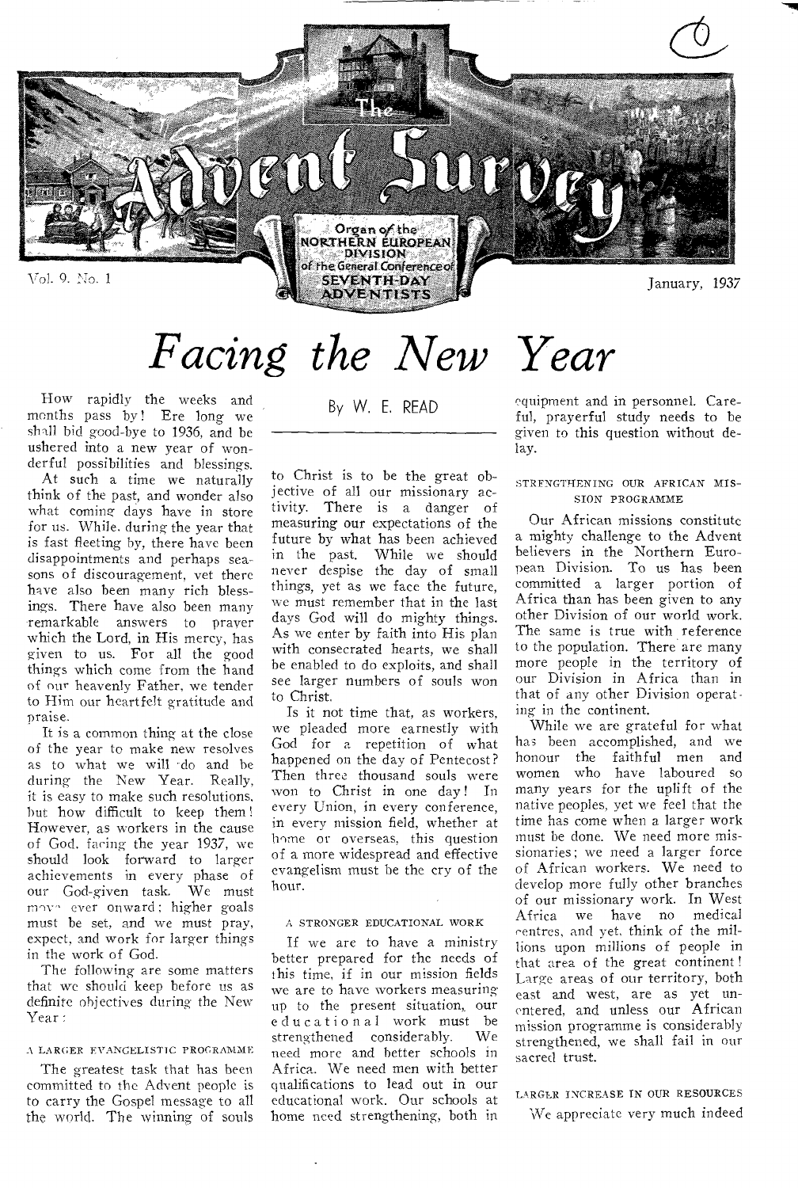

# *Facing the New Year*

How rapidly the weeks and months pass by! Ere long we shall bid good-bye to 1936, and be ushered into a new year of wonderful possibilities and blessings.

At such a time we naturally think of the past, and wonder also what coming days have in store for us. While. during the year that is fast fleeting by, there have been disappointments and perhaps seasons of discouragement, vet there have also been many rich blessings. There have also been many remarkable answers to prayer which the Lord, in His mercy, has given to us. For all the good things which come from the hand of our heavenly Father, we tender to Him our heartfelt gratitude and praise.

It is a common thing at the close of the year to make new resolves as to what we will do and be during the New Year. Really, it is easy to make such resolutions, but how difficult to keep them ! However, as workers in the cause of God, faring the year 1937, we should look forward to larger achievements in every phase of our God-given task. We must may- ever onward; higher goals must be set, and we must pray, expect, and work for larger things in the work of God.

The following are some matters that we should keep before us as definite objectives during the New Year:

#### A LARGER EVANGELISTIC PROGRAMME

The greatest task that has been committed to the Advent people is to carry the Gospel message to all the world. The winning of souls By W. E. READ

to Christ is to be the great objective of all our missionary activity. There is a danger of measuring our expectations of the future by what has been achieved in the past. While we should never despise the day of small things, yet as we face the future, we must remember that in the last days God will do mighty things. As we enter by faith into His plan with consecrated hearts, we shall be enabled to do exploits, and shall see larger numbers of souls won to Christ.

Is it not time that, as workers, we pleaded more earnestly with God for a repetition of what happened on the day of Pentecost? Then three thousand souls were won to Christ in one day ! In every Union, in every conference, in every mission field, whether at home or overseas, this question of a more widespread and effective evangelism must be the cry of the hour.

#### A STRONGER EDUCATIONAL WORK

If we are to have a ministry better prepared for the needs of this time, if in our mission fields we are to have workers measuring up to the present situation, our educational work must be strengthened considerably. need more and better schools in Africa. We need men with better qualifications to lead out in our educational work. Our schools at home need strengthening, both in

equipment and in personnel. Careful, prayerful study needs to be given to this question without delay.

#### STRENGTHENING OUR AFRICAN MIS-SION PROGRAMME

Our African missions constitute a mighty challenge to the Advent believers in the Northern European Division. To us has been committed a larger portion of Africa than has been given to any other Division of our world work. The same is true with reference to the population. There are many more people in the territory of our Division in Africa than in that of any other Division operating in the continent.

While we are grateful for what has been accomplished, and we honour the faithful men and women who have laboured so many years for the uplift of the native peoples, yet we feel that the time has come when a larger work must be done. We need more missionaries; we need a larger force of African workers. We need to develop more fully other branches of our missionary work. In West Africa we have no medical centres, and yet, think of the millions upon millions of people in that area of the great continent ! Large areas of our territory, both east and west, are as yet unentered, and unless our African mission programme is considerably strengthened, we shall fail in our sacred trust.

#### LARGER INCREASE IN OUR RESOURCES

We appreciate very much indeed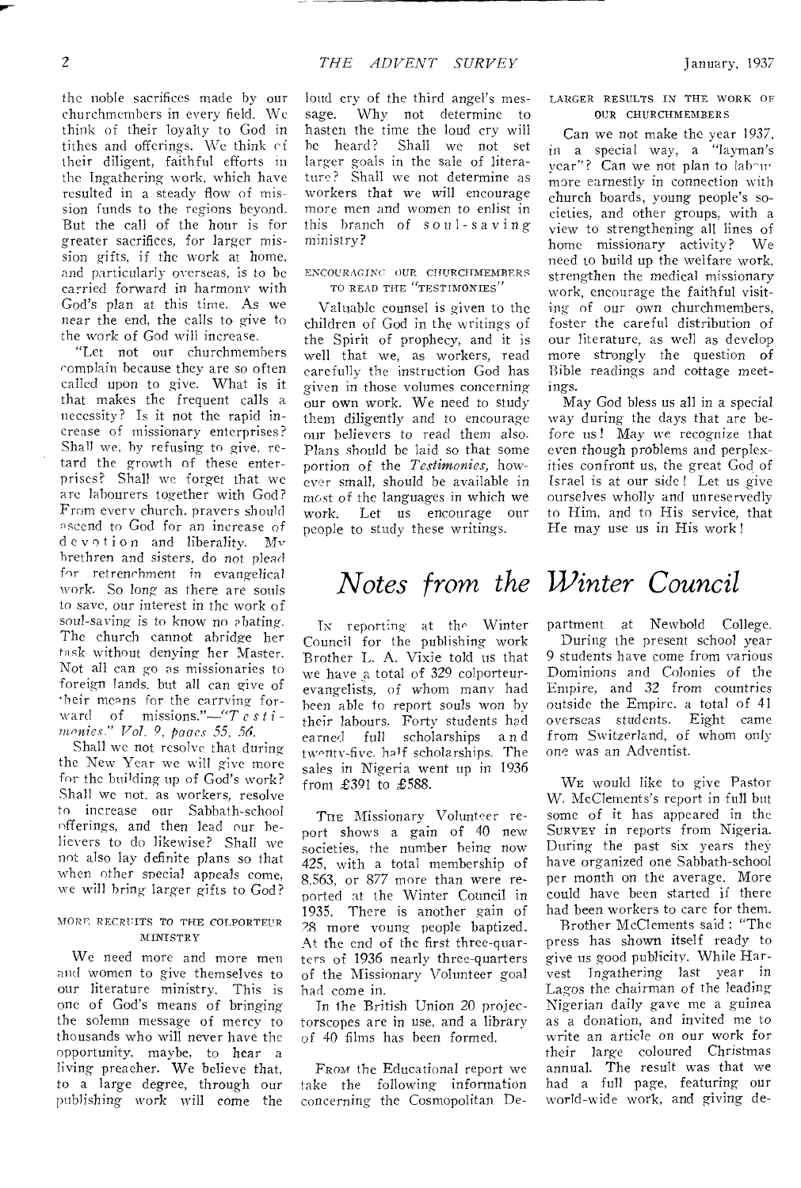the noble sacrifices made by our churchmcmhers in every field. We think of their loyalty to God in tithes and offerings. We think of their diligent, faithful efforts in the Ingathering work, which have resulted in a steady flow of mission funds to the regions beyond. But the call of the hour is for greater sacrifices, for larger mission gifts, if the work at home, and particularly overseas, is to be carried forward in harmony with God's plan at this time. As we near the end, the calls to give to the work of God will increase.

"Let not our churchmembers complain because they are so often called upon to give. What is it that makes the frequent calls a necessity? Is it not the rapid increase of missionary enterprises? Shall *we,* by refusing to give, retard the growth of these enterprises? Shall we forget that we are labourers together with God? From every church, prayers should ascend to God for an increase of devotion and liberality. Mv brethren and sisters, do not *plead*  for retrenchment in evangelical work. So long as there are souls to save, our interest in the work of soul-saving is to know no abating. The church cannot abridge her task without denying her Master. Not all can go as missionaries to foreign lands, but all can give of their means for the carrying forward of missions."—"T *estimonies." Vol. 9, panes 55, 56.* 

Shall we not resolve that during the New Year we will give more for the building up of God's work? Shall we not, as workers, resolve to increase our Sabbath-school offerings, and then lead our believers to do likewise? Shall we not also lay definite plans so that when other special appeals come, we will bring larger gifts to God?

### MORE RECRUITS TO THE COLPORTEUR **MINISTRY**

We need more and more men and women to give themselves to our literature ministry. This is one of God's means of bringing the solemn message of mercy to thousands who will never have the opportunity, maybe, to hear a living preacher. We believe that, to a large degree, through our publishing-work will come the

loud cry of the third angel's message. Why not determine to hasten the time the loud cry will he heard? Shall we not set larger goals in the sale of literature? Shall we not determine as workers that we will encourage more men and women to enlist in this branch of *soul-saving*  ministry?

### ENCOURAGINC OUR CHURCHMEMBERS TO READ THE "TESTIMONIES"

Valuable counsel is given to the children of God in the writings of the Spirit of prophecy, and it is well that we, as workers, read carefully the instruction God has given in those volumes concerning our own work. We need to study them diligently and to encourage our believers to read them also. Plans should be laid so that some portion of the *Testimonies,* however small, should he available in most of the languages in which we work. Let us encourage our people to study these writings.

### LARGER RESULTS IN THE WORK Or OUR CHURCHMEMBERS

Can we not make the year 1937, in a special way, a "layman's year"? Can we not plan to lab-'m more earnestly in connection with church boards, young people's societies, and other groups, with a view to strengthening all lines of home missionary activity? We need to build up the welfare work, strengthen the medical missionary work, encourage the faithful visiting of our own churchmembers, foster the careful distribution of our literature, as well as develop more strongly the question of Bible readings and cottage meetings.

May God bless us all in a special way *during* the days that are before us! May we recognize that even though problems and perplexities confront us, the great God of Israel is at our side ! Let us give ourselves wholly and unreservedly to Him, and to His service, that He may use us in His work !

## *Notes from the Winter Council*

IN reporting at the Winter Council for the publishing work Brother L. A. Vixie told us that we have a total of 329 colporteurevangelists, of whom many had been able to report souls won by their labours. Forty students had<br>earned full scholarships and scholarships a n d twenty-five. half scholarships. The sales in Nigeria went up in 1936 from £391 to £588.

THE Missionary Volunteer report shows a gain of 40 new societies, the number being now 425, with a total membership of 8,563, or 877 more than were reported at the Winter Council in 1935. There is another gain of 28 more young people baptized. At the end of the first three-quarters of 1936 nearly three-quarters of the Missionary Volunteer goal had come in.

In the British Union 20 projectorscopes are in use, and a library of 40 films has been formed.

FRom the Educational report we take the following information concerning the Cosmopolitan De-

partment at Newbold College. During the present school year 9 students have come from various Dominions and Colonies of the Empire, and 32 from countries outside the Empire, a total of 41 overseas students. Eight came from Switzerland, of whom only one was an Adventist.

WE would like to give Pastor W. McClements's report in full but some of it has appeared in the SURVEY in reports from Nigeria. During the past six years they have organized one Sabbath-school per month on the average. More could have been started if there had been workers to care for them.

Brother McClements said : "The press has shown itself ready to give us good publicity. While Harvest Tngathering last year in Lagos the chairman of the leading Nigerian daily gave me a guinea as a donation, and invited me to write an article on our work for their large coloured Christmas annual. The result was that we had a full page, featuring our world-wide work, and giving de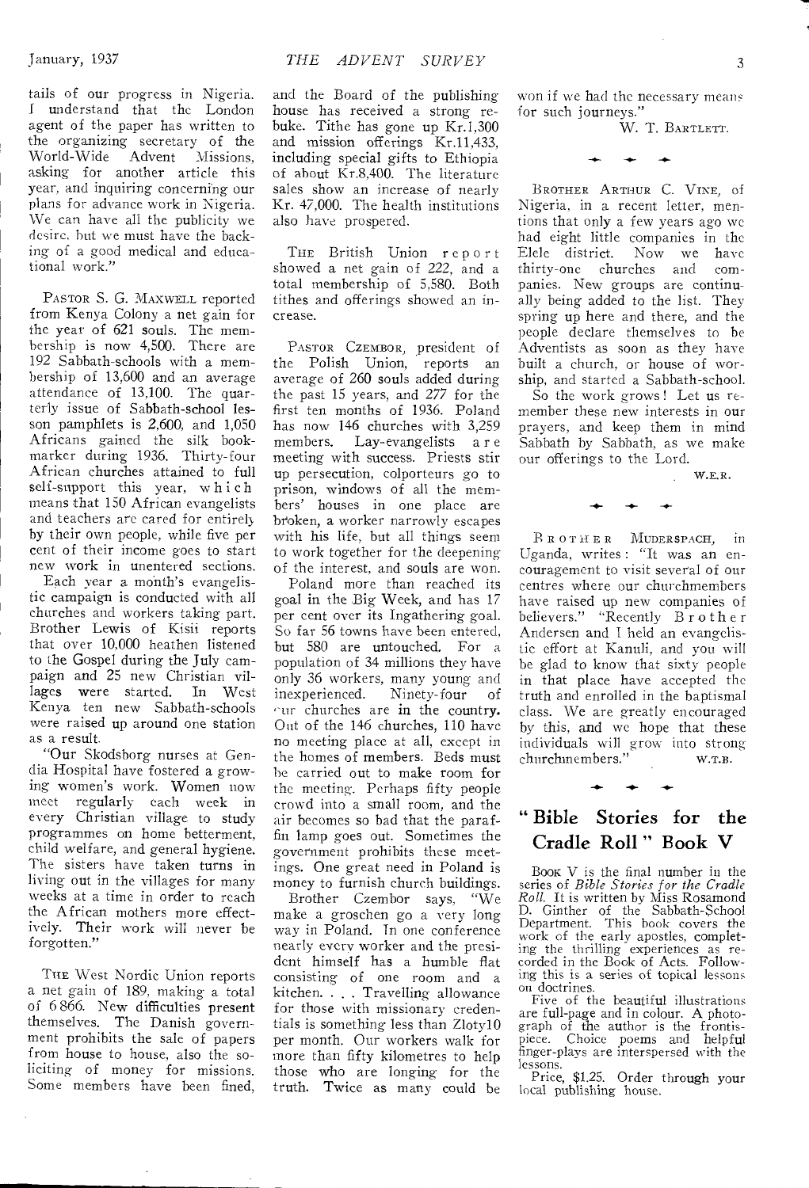tails of our progress in Nigeria. I understand that the London agent of the paper has written to the organizing secretary of the<br>World-Wide Advent Missions  $A$ dvent Missions, asking for another article this year, and inquiring concerning our plans for advance work in Nigeria. We can have all the publicity we desire. but we must have the backing of a good medical and educational work."

PASTOR S. G. MAXWELL reported from Kenya Colony a net gain for the year of 621 souls. The membership is now 4,500. There are 192 Sabbath-schools with a membership of 13,600 and an average attendance of 13,100. The quarterly issue of Sabbath-school lesson pamphlets is 2,600, and 1,050 Africans gained the silk bookmarker during 1936, Thirty-four African churches attained to full self-support this year, which means that 150 African evangelists and teachers are cared for entirely by their own people, while five per cent of their income goes to start new work in unentered sections.

Each year a month's evangelistic campaign is conducted with all churches and workers taking part. Brother Lewis of Kisii reports that over 10,000 heathen listened to the Gospel during the July campaign and 25 new Christian villages were started. In West lages were started. Kenya ten new Sabbath-schools were raised up around one station as a result.

"Our Skodsborg nurses at Gendia Hospital have fostered a growing women's work. Women now<br>meet regularly each week in each week in every Christian village to study programmes on home betterment, child welfare, and general hygiene. The sisters have taken turns in living out in the villages for many weeks at a time in order to reach the African mothers more effectively. Their work will never be forgotten."

THE West Nordic Union reports a net gain of 189, making a total of 6 866. New difficulties present themselves. The Danish government prohibits the sale of papers from house to house, also the soliciting of money for missions. Some members have been fined,

and the Board of the publishing house has received a strong rebuke. Tithe has gone up Kr.1,300 and mission offerings Kr.11,433, including special gifts to Ethiopia of about Kr.8,400. The literature sales show an increase of nearly Kr. 47,000. The health institutions also have prospered.

THE British Union report showed a net gain of 222, and a total membership of 5,580. Both tithes and offerings showed an increase.

PASTOR CZEMBOR, president of the Polish Union, reports an average of 260 souls added during the past 15 years, and 277 for the first ten months of 1936. Poland has now 146 churches with 3,259 members. Lay-evangelists a r e meeting with success. Priests stir up persecution, colporteurs go to prison, windows of all the members' houses in one place are broken, a worker narrowly escapes with his life, but all things seem to work together for the deepening of the interest, and souls are won.

Poland more than reached its goal in the Big Week, and has 17 per cent over its Ingathering goal. So far 56 towns have been entered, but 580 are untouched. For a population of 34 millions they have only 36 workers, many young and<br>inexperienced. Ninety-four of inexperienced.  $\cap$ ur churches are in the country. Out of the 146 churches, 110 have no meeting place at all, except in the homes of members. Beds must be carried out to make room for the meeting. Perhaps fifty people crowd into a small room, and the air becomes so bad that the paraffin lamp goes out. Sometimes the government prohibits these meetings. One great need in Poland is money to furnish church buildings.

Brother Czembor says, "We make a groschen go a very long way in Poland. In one conference nearly every worker and the president himself has a humble flat consisting of one room and a kitchen. . . . Travelling allowance for those with missionary credentials is something less than Zloty10 per month. Our workers walk for more than fifty kilometres to help those who are longing for the truth. Twice as many could be

won if we had the necessary means for such journeys."

W. T. BARTLETT.

BROTHER ARTHUR C. VINE, of Nigeria, in a recent letter, mentions that only a few years ago we had eight little companies in the Elele district. Now we have thirty-one churches and companies. New groups are continually being added to the list. They spring up here and there, and the people declare themselves to be Adventists as soon as they have built a church, or house of worship, and started a Sabbath-school.

So the work grows ! Let us remember these new interests in our prayers, and keep them in mind Sabbath by Sabbath, as we make our offerings to the Lord.

W.F.R.

BROTHER MUDERSPACH, In Uganda, writes : "It was an encouragement to visit several of our centres where our churchmembers have raised up new companies of believers." "Recently Brother Andersen and I held an evangelistic effort at Kanuli, and you will be glad to know that sixty people in that place have accepted the truth and enrolled in the baptismal class. We are greatly encouraged by this, and we hope that these individuals will grow into strong churchmembers." w.T.B.

### " Bible Stories for the Cradle Roll " Book V

BOOR V is the final number in the series of *Bible Stories for the Cradle Roll.* It is written by Miss Rosamond D. Ginther of the Sabbath-School Department. This book covers the work of the early apostles, completing the thrilling experiences as recorded in the Book of Acts. Following this is a series of topical lessons on doctrines.

Five of the beautiful illustrations are full-page and in colour. A photograph of the author is the frontispiece. Choice poems and helpful finger-plays are interspersed with the lessons.

Price, \$1.25. Order through your local publishing house.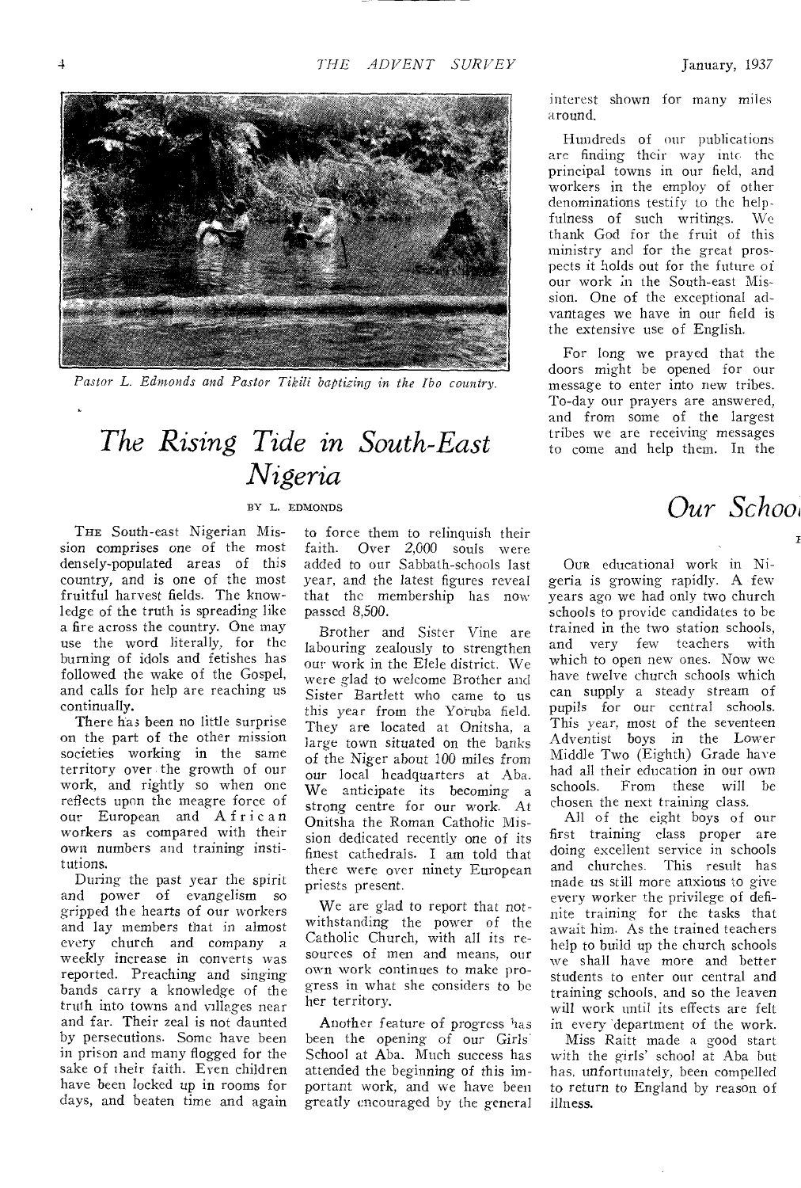

*Pastor L. Edmonds and Pastor Tikili baptizing in the Ibo country.* 

### *The Rising Tide in South-East Nigeria*

### BY L. EDMONDS

THE South-east Nigerian Mission comprises one of the most densely-populated areas of this country, and is one of the most fruitful harvest fields. The knowledge of the truth is spreading like a fire across the country. One may use the word literally, for the burning of idols and fetishes has followed the wake of the Gospel, and calls for help are reaching us continually.

There ha3 been no little surprise on the part of the other mission societies working in the same territory over the growth of our work, and rightly so when one reflects upon the meagre force of our European and African workers as compared with their own numbers and training institutions.

During the past year the spirit and power of evangelism so gripped the hearts of our workers and lay members that in almost every church and company a weekly increase in converts was reported. Preaching and singing bands carry a knowledge of the truth into towns and villages near and far. Their zeal is not daunted by persecutions. Some have been in prison and many flogged for the sake of their faith. Even children have been locked up in rooms for days, and beaten time and again

to force them to relinquish their faith. Over 2,000 souls were added to our Sabbath-schools last year, and the latest figures reveal that the membership has now passed 8,500.

Brother and Sister Vine are labouring zealously to strengthen our work in the Elele district. We were glad to welcome Brother and Sister Bartlett who came to us this year from the Yoruba field. They are located at Onitsha, a large town situated on the banks of the Niger about 100 miles from our local headquarters at Aba. We anticipate its becoming a strong centre for our work. At Onitsha the Roman Catholic Mission dedicated recently one of its finest cathedrals. I am told that there were over ninety European priests present.

We are glad to report that notwithstanding the power of the Catholic Church, with all its resources of men and means, our own work continues to make progress in what she considers to be her territory.

Another feature of progress *has*  been the opening of our Girls School at Aba. Much success has attended the beginning of this important work, and we have been greatly encouraged by the general

interest shown for many miles around.

Hundreds of our publications are finding their way into the principal towns in our field, and workers in the employ of other denominations testify to the helpfulness of such writings. We thank God for the fruit of this ministry and for the great prospects it holds out for the future of our work in the South-east Mission. One of the exceptional advantages we have in our field is the extensive use of English.

For long we prayed that the doors might be opened for our message to enter into new tribes. To-day our prayers are answered, and from some of the largest tribes we are receiving messages to come and help them. In the

*Our Schoa* 

OUR educational work in Nigeria is growing rapidly. A few years ago we had only two church schools to provide candidates to be trained in the two station schools, and very few teachers with which to open new ones. Now we have twelve church schools which can supply a steady stream of pupils for our central schools. This year, most of the seventeen Adventist boys in the Lower Middle Two (Eighth) Grade have had all their education in our own schools. From these will be chosen the next training class.

All of the eight boys of our first training class proper are doing excellent service in schools and churches. This result has made us still more anxious to give every worker the privilege of definite training for the tasks that await him. As the trained teachers help to build up the church schools we shall have more and better students to enter our central and training schools, and so the leaven will work until its effects are felt in every 'department of the work.

Miss Raitt made a good start with the girls' school at Aba but *has,* unfortunately, been compelled to return to England by reason of illness.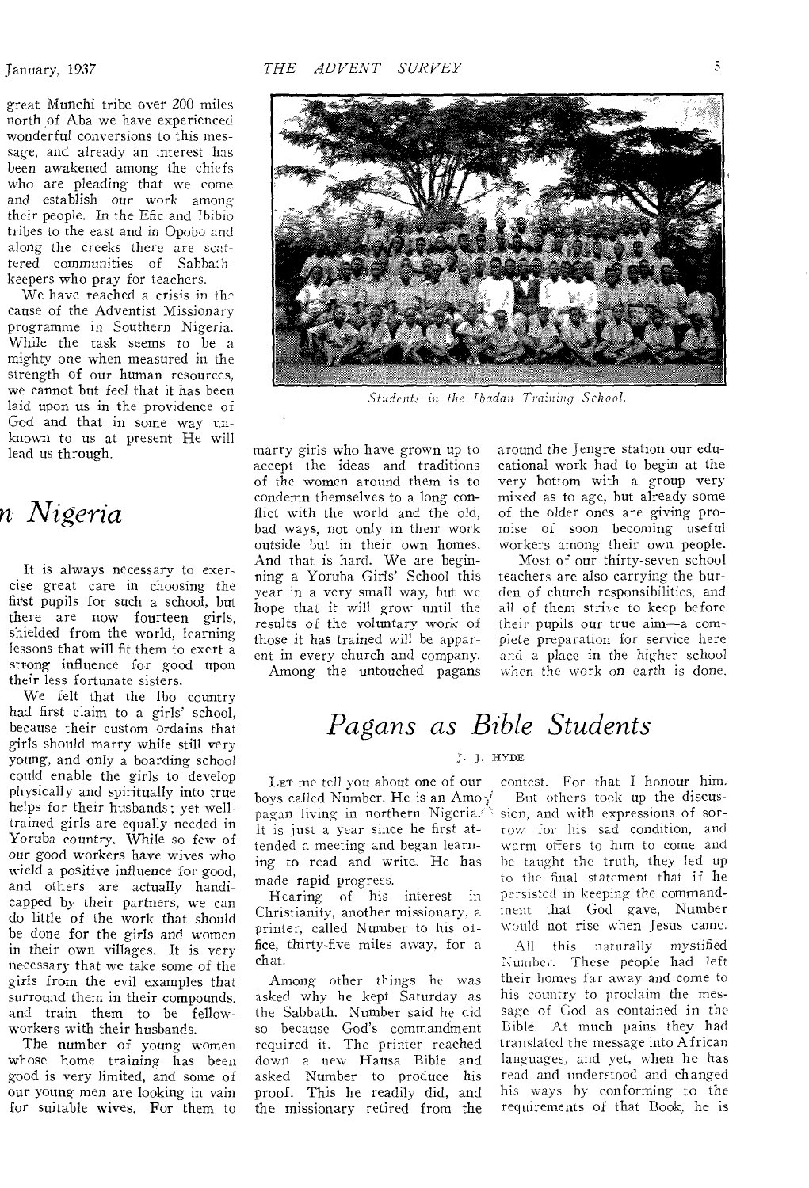January, 1937

great Munchi tribe over 200 miles north of Aba we have experienced wonderful conversions to this message, and already an interest has been awakened among the chiefs who are pleading that we come and establish our work among their people. In the Efic and Ihibio tribes to the east and in Opobo and along the creeks there are scattered communities of Sabbathkeepers who pray for teachers.

We have reached a crisis in the cause of the Adventist Missionary programme in Southern Nigeria. While the task seems to be a mighty one when measured in the strength of our human resources, we cannot but feel that it has been laid upon us in the providence of God and that in some way unknown to us at present He will lead us through.

### *n Nigeria*

It is always necessary to exercise great care in choosing the first pupils for such a school, but there are now fourteen girls, shielded from the world, learning lessons that will fit them to exert a strong influence for good upon their less fortunate sisters.

We felt that the Ibo country had first claim to a girls' school, because their custom ordains that girls should marry while still very young, and only a boarding school could enable the girls to develop physically and spiritually into true helps for their husbands; yet welltrained girls are equally needed in Yoruba country. While so few of our good workers have wives who wield a positive influence for good, and others are actually handicapped by their partners, we can do little of the work that should be done for the girls and women in their own villages. It is very necessary that we take some of the girls from the evil examples that surround them in their compounds, and train them to be fellowworkers with their husbands.

The number of young women whose home training has been good is very limited, and some of our young men are looking in vain for suitable wives. For them to



*Students in the ibadan Tra:iiing School.* 

marry girls who have grown up to accept the ideas and traditions of the women around them is to condemn themselves to a long conflict with the world and the old, bad ways, not only in their work outside but in their own homes. And that is hard. We are beginning a Yoruba Girls' School this year in a very small way, but we hope that it will grow until the results of the voluntary work of those it has trained will be apparent in every church and company. Among the untouched pagans around the Jengre station our educational work had to begin at the very bottom with a group very mixed as to age, but already some of the older ones are giving promise of soon becoming useful workers among their own people.

Most of our thirty-seven school teachers are also carrying the burden of church responsibilities, and all of them strive to keep before their pupils our true aim—a complete preparation for service here and a place in the higher school when the work on earth is done.

### *Pagans as Bible Students*

#### J. J. HYDE

LET me tell you about one of our boys called Number. He is an Amoy pagan living in northern Nigeria.<sup>1</sup>\* It is just a year since he first attended a meeting and began learning to read and write. He has made rapid progress.

Hearing of his interest in Christianity, another missionary, a printer, called Number to his office, thirty-five miles away, for a chat.

Among other things he was asked why he kept Saturday as the Sabbath. Number said he did so because God's commandment required it. The printer reached down a new Hausa Bible and asked Number to produce his proof. This he readily did, and the missionary retired from the

contest. For that I honour him. But others took up the discussion, and with expressions of sorrow for his sad condition, and warm offers to him to come and be taught the truth, they led up to the final statement that if he persisted in keeping the commandment that God gave, Number would not rise when Jesus came.

All this naturally mystified Number. These people had left their homes far away and come to his country to proclaim the message of God as contained in the Bible. At much pains they had translated the message into African languages, and yet, when he has read and understood and changed his ways by conforming to the requirements of that Book, he is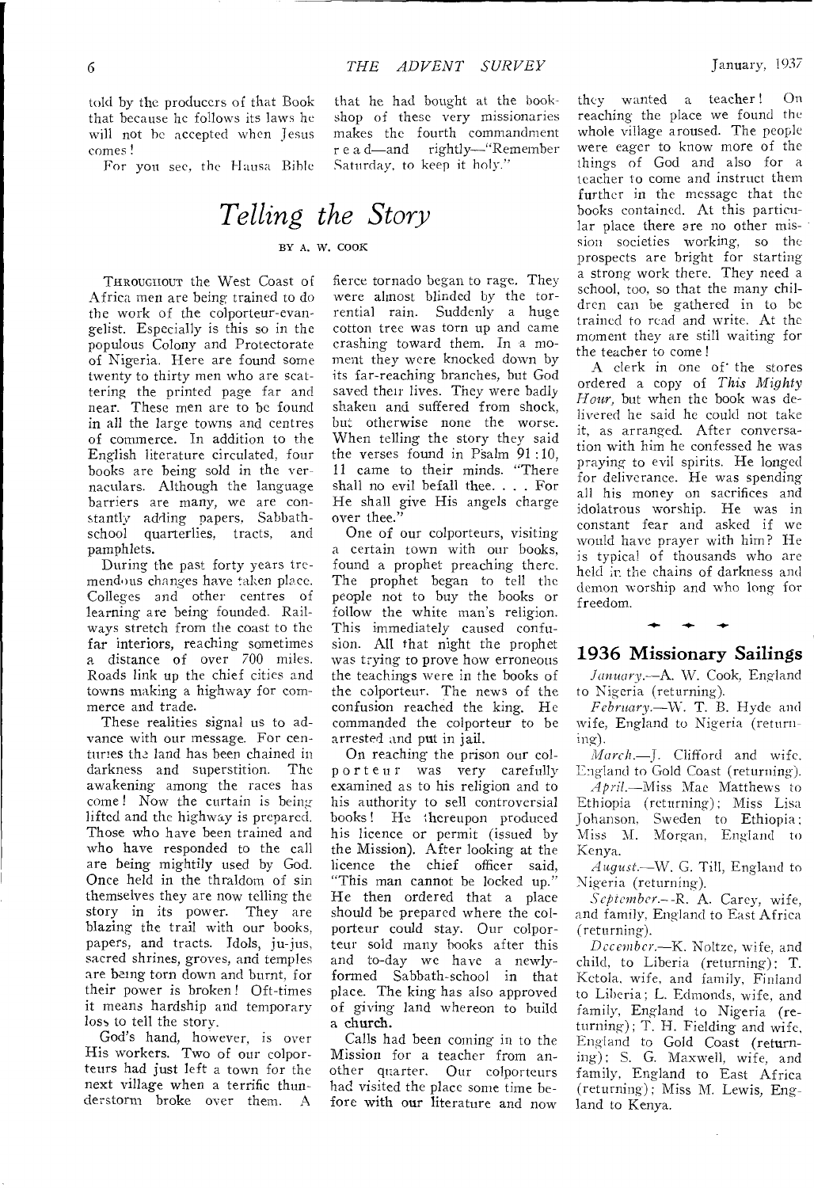told by the producers of that Book that because he follows its laws he will not he accepted when Jesus comes !

For you sec, the Hausa Bible

that he had bought at the bookshop of these very missionaries makes the fourth commandment r e a d—and rightly—"Remember Saturday, to keep it holy."

# *Telling the Story*

### BY A. W. COOK

THROUGHOUT the West Coast of Africa men are being trained to do the work of the colporteur-evangelist. Especially is this so in the populous Colony and Protectorate of Nigeria. Here are found some twenty to thirty men who are scattering the printed page far and near. These men are to be found in all the large towns and centres of commerce. In addition to the English literature circulated, four books are being sold in the vernaculars. Although the language barriers are many, we are constantly adding papers, Sabbathschool quarterlies, tracts, and pamphlets.

During the past forty years tremendous changes have taken place. Colleges and other centres of learning are being founded. Railways stretch from the coast to the far interiors, reaching sometimes a distance of over 700 miles. Roads link up the chief cities and towns making a highway for commerce and trade.

These realities signal us to advance with our message. For centuries the land has been chained in darkness and superstition. The awakening among the races has come ! Now the curtain is being lifted and the highway is prepared. Those who have been trained and who have responded to the call are being mightily used by God. Once held in the thraldom of sin themselves they are now telling the story in its power. They are blazing the trail with our books, papers, and tracts. Idols, ju-jus, sacred shrines, groves, and temples are being torn down and burnt, for their power is broken ! Oft-times it means hardship and temporary loss to tell the story.

God's hand, however, is over His workers. Two of our colporteurs had just left a town for the next village when a terrific thunderstorm broke over them. A

fierce tornado began to rage. They were almost blinded by the torrential rain. Suddenly a huge cotton tree was torn up and came crashing toward them. In a moment they were knocked down by its far-reaching branches, but God saved their lives. They were badly shaken and suffered from shock, but otherwise none the worse. When telling the story they said the verses found in Psalm 91:10, 11 came to their minds. "There shall no evil befall thee. . . . For He shall give His angels charge over thee."

One of our colporteurs, visiting a certain town with our books, found a prophet preaching there. The prophet began to tell the people not to buy the books or follow the white man's religion. This immediately caused confusion. All that night the prophet was trying to prove how erroneous the teachings were in the books of the colporteur. The news of the confusion reached the king. He commanded the colporteur to be arrested and put in jail.

On reaching the prison our colp or t e u r was very carefully examined as to his religion and to his authority to sell controversial books! He Ihereupon produced his licence or permit (issued by the Mission). After looking at the licence the chief officer said, "This man cannot be locked up." He then ordered that a place should be prepared where the colporteur could stay. Our colporteur sold many books after this and to-day we have a newlyformed Sabbath-school in that place. The king has also approved of giving land whereon to build a church.

Calls had been coming in to the Mission for a teacher from another quarter. Our colporteurs had visited the place some time before with our literature and now

they wanted a teacher ! On reaching the place we found the whole village aroused. The people were eager to know more of the things of God and also for a teacher to come and instruct them further in the message that the books contained. At this particular place there are no other mission societies working, so the prospects are bright for starting a strong work there. They need a school, too, so that the many children can be gathered in to be trained to read and write. At the moment they are still waiting for the teacher to come!

A clerk in one of the stores ordered a copy of *This Mighty Hour,* but when the book was delivered he said he could not take it, as arranged. After conversation with him he confessed he was praying to evil spirits. He longed for deliverance. He was spending all his money on sacrifices and idolatrous worship. He was in constant fear and asked if we would have prayer with him? He is typical of thousands who are held in the chains of darkness and demon worship and who long for freedom.

### - 1936 Missionary Sailings

*January.—A.* W. Cook, England to Nigeria (returning).

*February.—W.* T. B. Hyde and wife, England to Nigeria (returning).

*March.—J.* Clifford and wife. England to Gold Coast (returning).

*April.—Miss* Mae Matthews to Ethiopia (returning); Miss Lisa Johanson, Sweden to Ethiopia ; Miss M. Morgan, England to Kenya.

*August.—W.* G. Till, England to Nigeria (returning).

*September—R.* A. Carey, wife, and family, England to East Africa (returning).

*December.—K.* Noltze, wife, and child, to Liberia (returning); T. Ketola, wife, and family, Finland to Liberia; L. Edmonds, wife, and family, England to Nigeria (returning); T. H. Fielding and wife, England to Gold Coast (returning); S. G. Maxwell, wife, and family, England to East Africa (returning); Miss M. Lewis, England to Kenya.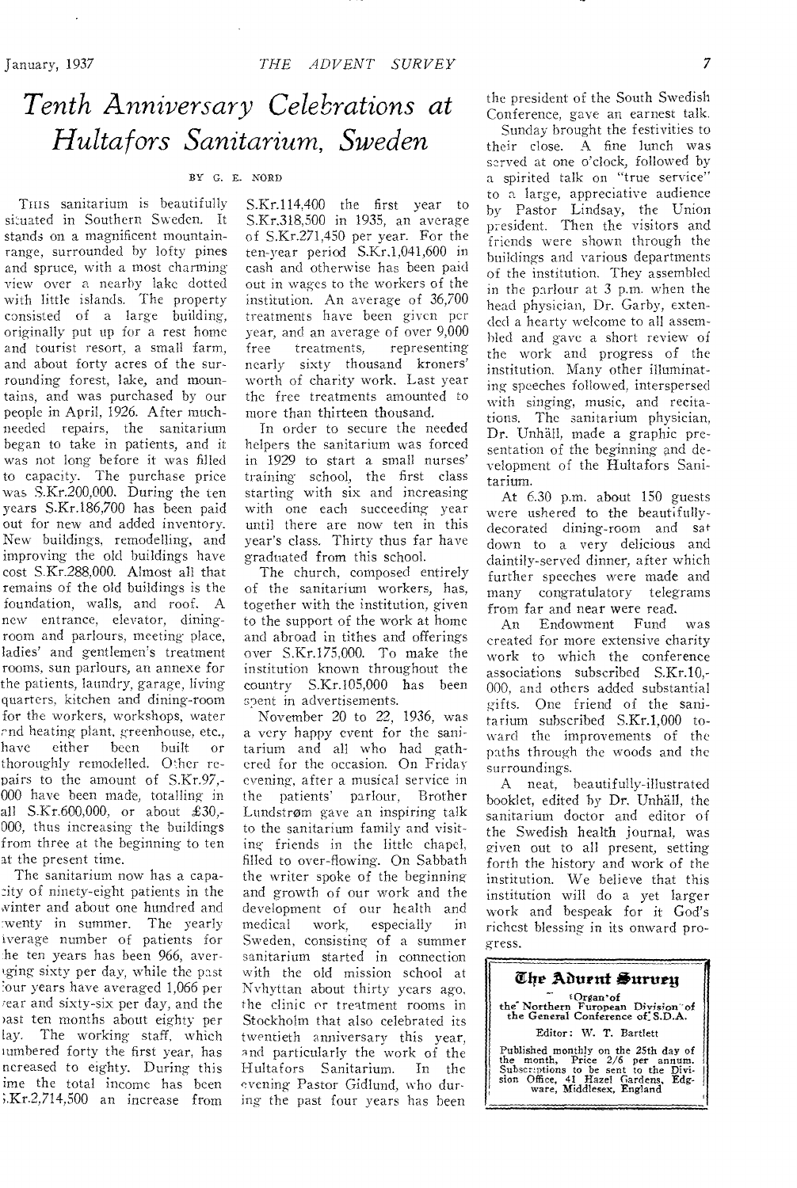## *Tenth Anniversary Celebrations at Hultafors Sanitarium, Sweden*

#### BY G. E. NORD

Tuts sanitarium is beautifully situated in Southern Sweden. It stands on a magnificent mountainrange, surrounded by lofty pines and spruce, with a most charming view over a nearby lake dotted with little islands. The property consisted of a large building, originally put up for a rest home and tourist resort, a small farm, and about forty acres of the surrounding forest, lake, and mountains, and was purchased by our people in April, 1926. After muchneeded repairs, the sanitarium began to take in patients, and it was not long before it was filled to capacity. The purchase price was S.Kr.200,000. During the ten years S.Kr.186,700 has been paid out for new and added inventory. New buildings, remodelling, and improving the old buildings have cost S.Kr.288,000. Almost all that remains of the old buildings is the foundation, walls, and roof. A new entrance, elevator, diningroom and parlours, meeting place, ladies' and gentlemen's treatment rooms, sun parlours, an annexe for the patients, laundry, garage, living quarters, kitchen and dining-room for the workers, workshops, water rnd heating plant, greenhouse, etc.,<br>have either been built or have either been built or thoroughly remodelled. Other repairs to the amount of S.Kr.97,- 000 have been made, totalling in all S.Kr.600,000, or about £30,- 000, thus increasing the buildings from three at the beginning to ten at the present time.

The sanitarium now has a capa- :ity of ninety-eight patients in the ,vinter and about one hundred and :wenty in summer. The yearly iverage number of patients for *he* ten years has been 966, aver- '.ging sixty per day, while the past :our years have averaged 1,066 per rear and sixty-six per day, and the >ast ten months about eighty per lay. The working staff, which tumbered forty the first year, has ncreased to eighty. During this ime the total income has been ;.Kr.2,714,500 an increase from

S.Kr.114,400 the first year to S.Kr.318,500 in 1935, an average of S.Kr.271,450 per year. For the ten-year period S.Kr.1,041,600 in cash and otherwise has been paid out in wages to the workers of the institution. An average of 36,700 treatments have been given per year, and an average of over 9,000 free treatments, representing nearly sixty thousand kroners' worth of charity work. Last year the free treatments amounted to more than thirteen thousand.

In order to secure the needed helpers the sanitarium was forced in 1929 to start a small nurses' training school, the first class starting with six and increasing with one each succeeding year until there are now ten in this year's class. Thirty thus far have graduated from this school.

The church, composed entirely of the sanitarium workers, has, together with the institution, given to the support of the work at home and abroad in tithes and offerings over S.Kr.175,000. To make the institution known throughout the country S.Kr.105,000 has been spent in advertisements.

November 20 to 22, 1936, was a very happy event for the sanitarium and all who had gathered for the occasion. On Friday evening, after a musical service in the patients' parlour, Brother Lundstrom gave an inspiring talk to the sanitarium family and visiting friends in the little chapel, filled to over-flowing. On Sabbath the writer spoke of the beginning and growth of our work and the development of our health and<br>medical work, especially in especially in Sweden, consisting of a summer sanitarium started in connection with the old mission school at Nvhyttan about thirty years ago, the clinic or treatment rooms in Stockholm that also celebrated its twentieth anniversary this year, and particularly the work of the Hultafors Sanitarium. In the evening- Pastor Gidlund, who during the past four years has been

the president of the South Swedish Conference, gave an earnest talk.

Sunday brought the festivities to their close. A fine lunch was served at one o'clock, followed by a spirited talk on "true service" to a large, appreciative audience by Pastor Lindsay, the Union president. Then the visitors and friends were shown through the buildings and various departments of the institution. They assembled in the parlour at 3 p.m. when the head physician, Dr. Garby, extended a hearty welcome to all assembled and gave a short review of the work and progress of the institution. Many other illuminating speeches followed, interspersed with singing, music, and recitations. The sanitarium physician, Dr. Unhall, made a graphic presentation of the beginning and development of the Hultafors Sanitarium.

At 6.30 p.m. about 150 guests were ushered to the beautifullydecorated dining-room and sat down to a very delicious and daintily-served dinner, after which further speeches were made and many congratulatory telegrams from far and near were read.

An Endowment Fund was created for more extensive charity work to which the conference associations subscribed S.Kr.10,- 000, and others added substantial gifts. One friend of the sanitarium subscribed S.Kr.1,000 toward the improvements of the paths through the woods and the surroundings.

A neat, beautifully-illustrated booklet, edited by Dr. Unhall, the sanitarium doctor and editor of the Swedish health journal, was given out to all present, setting forth the history and work of the institution. We believe that this institution will do a yet larger work and bespeak for it God's richest blessing in its onward progress.